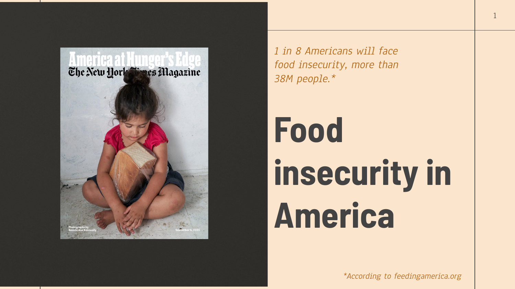

1 in 8 Americans will face food insecurity, more than 38M people.\*

# Food insecurity in America

\*According to feedingamerica.org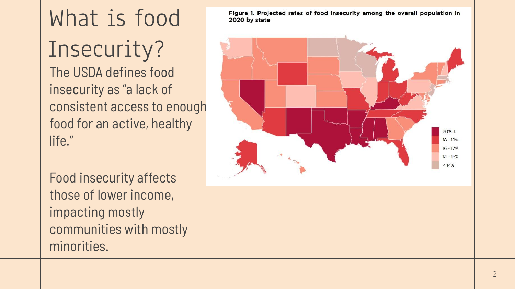The USDA defines food insecurity as "a lack of consistent access to enough food for an active, healthy life." What is food Insecurity?

Food insecurity affects those of lower income, impacting mostly communities with mostly minorities.

Figure 1. Projected rates of food insecurity among the overall population in 2020 by state

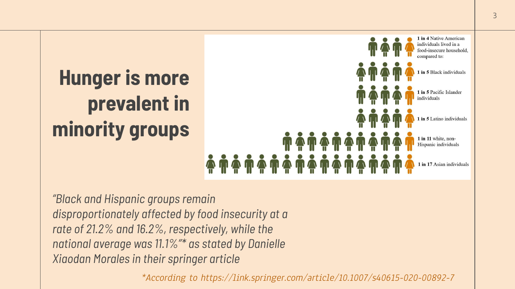

"Black and Hispanic groups remain disproportionately affected by food insecurity at a rate of 21.2% and 16.2%, respectively, while the national average was 11.1%"\* as stated by Danielle Xiaodan Morales in their springer article

\*According to https://link.springer.com/article/10.1007/s40615-020-00892-7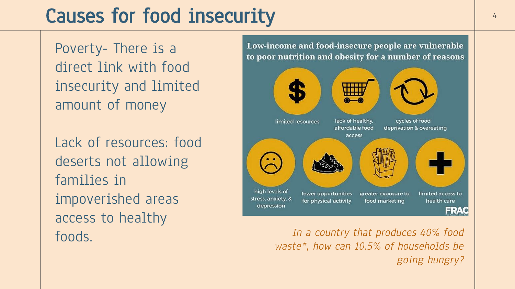## Causes for food insecurity and the state of  $\frac{4}{4}$

Poverty- There is a direct link with food insecurity and limited amount of money

Lack of resources: food deserts not allowing families in impoverished areas access to healthy



foods. In a country that produces 40% food waste\*, how can 10.5% of households be going hungry?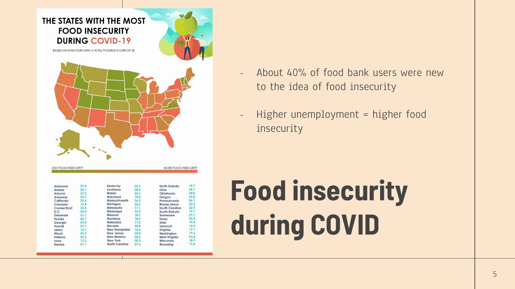

- About 40% of food bank users were new to the idea of food insecurity
- Higher unemployment = higher food insecurity

## Food insecurity during COVID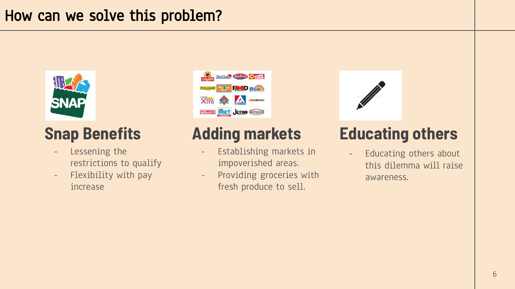### How can we solve this problem?



### Snap Benefits

- Lessening the restrictions to qualify
- Flexibility with pay increase



## Adding markets

- Establishing markets in impoverished areas.
- Providing groceries with fresh produce to sell.



### Educating others

- Educating others about this dilemma will raise awareness.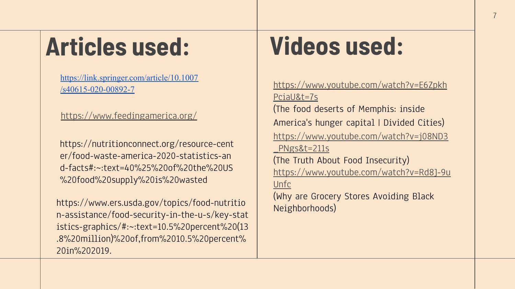## Articles used:

[https://link.springer.com/article/10.1007](https://link.springer.com/article/10.1007/s40615-020-00892-7) [/s40615-020-00892-7](https://link.springer.com/article/10.1007/s40615-020-00892-7)

<https://www.feedingamerica.org/>

https://nutritionconnect.org/resource-cent er/food-waste-america-2020-statistics-an d-facts#:~:text=40%25%20of%20the%20US %20food%20supply%20is%20wasted

https://www.ers.usda.gov/topics/food-nutritio n-assistance/food-security-in-the-u-s/key-stat istics-graphics/#:~:text=10.5%20percent%20(13 .8%20million)%20of,from%2010.5%20percent% 20in%202019.

## Videos used:

[https://www.youtube.com/watch?v=E6Zpkh](https://www.youtube.com/watch?v=E6ZpkhPciaU&t=7s) [PciaU&t=7s](https://www.youtube.com/watch?v=E6ZpkhPciaU&t=7s) (The food deserts of Memphis: inside America's hunger capital | Divided Cities) [https://www.youtube.com/watch?v=j08ND3](https://www.youtube.com/watch?v=j08ND3_PNgs&t=211s) [\\_PNgs&t=211s](https://www.youtube.com/watch?v=j08ND3_PNgs&t=211s) (The Truth About Food Insecurity) [https://www.youtube.com/watch?v=Rd8J-9u](https://www.youtube.com/watch?v=Rd8J-9uUnfc) [Unfc](https://www.youtube.com/watch?v=Rd8J-9uUnfc) (Why are Grocery Stores Avoiding Black Neighborhoods)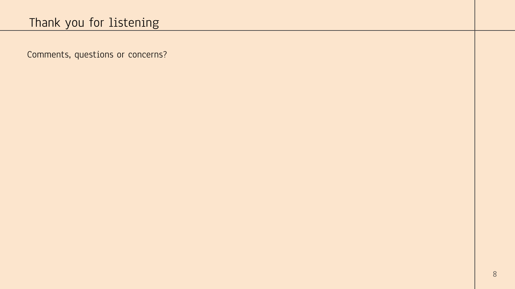Comments, questions or concerns?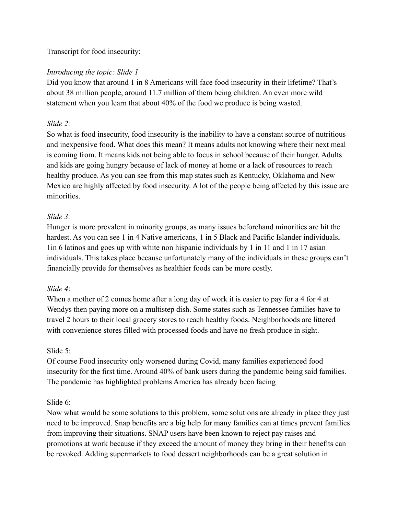#### Transcript for food insecurity:

#### *Introducing the topic: Slide 1*

Did you know that around 1 in 8 Americans will face food insecurity in their lifetime? That's about 38 million people, around 11.7 million of them being children. An even more wild statement when you learn that about 40% of the food we produce is being wasted.

#### *Slide 2:*

So what is food insecurity, food insecurity is the inability to have a constant source of nutritious and inexpensive food. What does this mean? It means adults not knowing where their next meal is coming from. It means kids not being able to focus in school because of their hunger. Adults and kids are going hungry because of lack of money at home or a lack of resources to reach healthy produce. As you can see from this map states such as Kentucky, Oklahoma and New Mexico are highly affected by food insecurity. A lot of the people being affected by this issue are minorities.

#### *Slide 3:*

Hunger is more prevalent in minority groups, as many issues beforehand minorities are hit the hardest. As you can see 1 in 4 Native americans, 1 in 5 Black and Pacific Islander individuals, 1in 6 latinos and goes up with white non hispanic individuals by 1 in 11 and 1 in 17 asian individuals. This takes place because unfortunately many of the individuals in these groups can't financially provide for themselves as healthier foods can be more costly.

#### *Slide 4*:

When a mother of 2 comes home after a long day of work it is easier to pay for a 4 for 4 at Wendys then paying more on a multistep dish. Some states such as Tennessee families have to travel 2 hours to their local grocery stores to reach healthy foods. Neighborhoods are littered with convenience stores filled with processed foods and have no fresh produce in sight.

#### Slide 5:

Of course Food insecurity only worsened during Covid, many families experienced food insecurity for the first time. Around 40% of bank users during the pandemic being said families. The pandemic has highlighted problems America has already been facing

#### Slide 6:

Now what would be some solutions to this problem, some solutions are already in place they just need to be improved. Snap benefits are a big help for many families can at times prevent families from improving their situations. SNAP users have been known to reject pay raises and promotions at work because if they exceed the amount of money they bring in their benefits can be revoked. Adding supermarkets to food dessert neighborhoods can be a great solution in